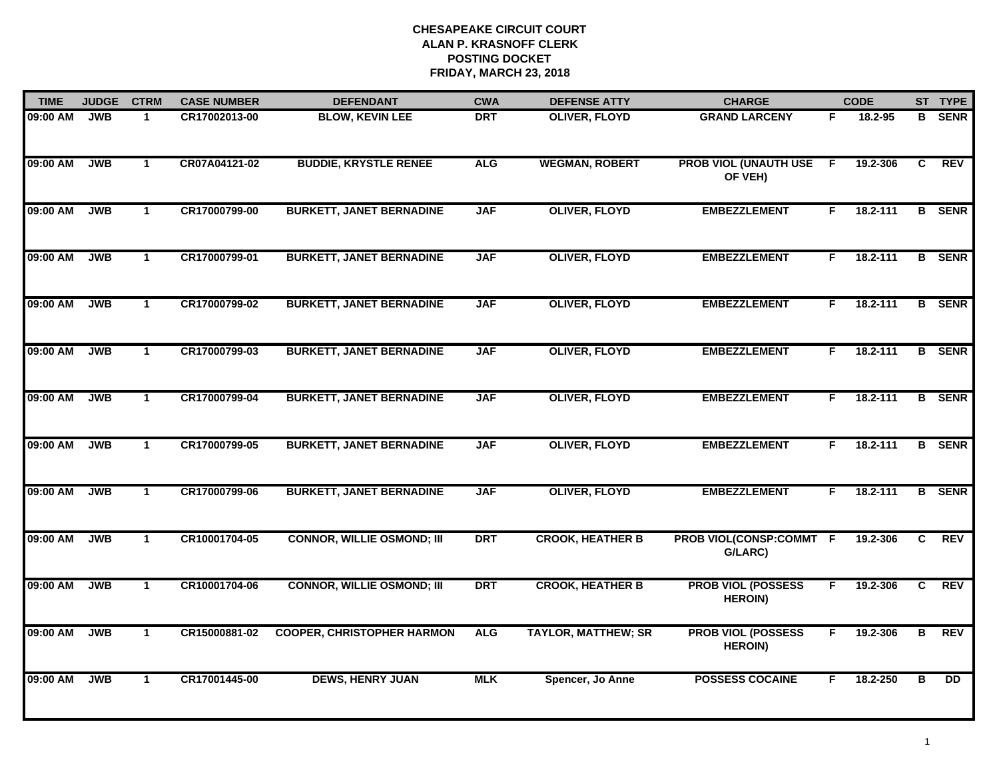| <b>TIME</b> | <b>JUDGE</b> | <b>CTRM</b>          | <b>CASE NUMBER</b> | <b>DEFENDANT</b>                  | <b>CWA</b> | <b>DEFENSE ATTY</b>        | <b>CHARGE</b>                               |                | <b>CODE</b> |                | ST TYPE         |
|-------------|--------------|----------------------|--------------------|-----------------------------------|------------|----------------------------|---------------------------------------------|----------------|-------------|----------------|-----------------|
| 09:00 AM    | <b>JWB</b>   | 1                    | CR17002013-00      | <b>BLOW, KEVIN LEE</b>            | <b>DRT</b> | <b>OLIVER, FLOYD</b>       | <b>GRAND LARCENY</b>                        | F.             | 18.2-95     | в              | <b>SENR</b>     |
| 09:00 AM    | <b>JWB</b>   | $\mathbf{1}$         | CR07A04121-02      | <b>BUDDIE, KRYSTLE RENEE</b>      | <b>ALG</b> | <b>WEGMAN, ROBERT</b>      | <b>PROB VIOL (UNAUTH USE</b><br>OF VEH)     | $\overline{F}$ | 19.2-306    | $\overline{c}$ | <b>REV</b>      |
| 09:00 AM    | <b>JWB</b>   | $\mathbf{1}$         | CR17000799-00      | <b>BURKETT, JANET BERNADINE</b>   | <b>JAF</b> | <b>OLIVER, FLOYD</b>       | <b>EMBEZZLEMENT</b>                         | F.             | 18.2-111    |                | <b>B</b> SENR   |
| 09:00 AM    | <b>JWB</b>   | $\blacktriangleleft$ | CR17000799-01      | <b>BURKETT, JANET BERNADINE</b>   | <b>JAF</b> | <b>OLIVER, FLOYD</b>       | <b>EMBEZZLEMENT</b>                         | F.             | 18.2-111    |                | <b>B</b> SENR   |
| 09:00 AM    | <b>JWB</b>   | $\mathbf{1}$         | CR17000799-02      | <b>BURKETT, JANET BERNADINE</b>   | <b>JAF</b> | <b>OLIVER, FLOYD</b>       | <b>EMBEZZLEMENT</b>                         | F.             | 18.2-111    |                | <b>B</b> SENR   |
| 09:00 AM    | <b>JWB</b>   | $\mathbf{1}$         | CR17000799-03      | <b>BURKETT, JANET BERNADINE</b>   | <b>JAF</b> | <b>OLIVER, FLOYD</b>       | <b>EMBEZZLEMENT</b>                         | F.             | 18.2-111    |                | <b>B</b> SENR   |
| 09:00 AM    | <b>JWB</b>   | $\overline{1}$       | CR17000799-04      | <b>BURKETT, JANET BERNADINE</b>   | <b>JAF</b> | <b>OLIVER, FLOYD</b>       | <b>EMBEZZLEMENT</b>                         | F.             | 18.2-111    |                | <b>B</b> SENR   |
| 09:00 AM    | <b>JWB</b>   | $\mathbf{1}$         | CR17000799-05      | <b>BURKETT, JANET BERNADINE</b>   | <b>JAF</b> | <b>OLIVER, FLOYD</b>       | <b>EMBEZZLEMENT</b>                         | F.             | 18.2-111    |                | <b>B</b> SENR   |
| 09:00 AM    | <b>JWB</b>   | $\mathbf 1$          | CR17000799-06      | <b>BURKETT, JANET BERNADINE</b>   | <b>JAF</b> | <b>OLIVER, FLOYD</b>       | <b>EMBEZZLEMENT</b>                         | F.             | 18.2-111    |                | <b>B</b> SENR   |
| 09:00 AM    | <b>JWB</b>   | $\mathbf{1}$         | CR10001704-05      | <b>CONNOR, WILLIE OSMOND; III</b> | <b>DRT</b> | <b>CROOK, HEATHER B</b>    | PROB VIOL(CONSP:COMMT F<br>G/LARC)          |                | 19.2-306    | C              | <b>REV</b>      |
| 09:00 AM    | <b>JWB</b>   | $\mathbf{1}$         | CR10001704-06      | <b>CONNOR, WILLIE OSMOND; III</b> | <b>DRT</b> | <b>CROOK, HEATHER B</b>    | <b>PROB VIOL (POSSESS</b><br><b>HEROIN)</b> | F.             | 19.2-306    | C.             | <b>REV</b>      |
| 09:00 AM    | <b>JWB</b>   | $\mathbf{1}$         | CR15000881-02      | <b>COOPER, CHRISTOPHER HARMON</b> | <b>ALG</b> | <b>TAYLOR, MATTHEW; SR</b> | <b>PROB VIOL (POSSESS</b><br><b>HEROIN)</b> | F.             | 19.2-306    | В              | <b>REV</b>      |
| 09:00 AM    | <b>JWB</b>   | $\mathbf{1}$         | CR17001445-00      | <b>DEWS, HENRY JUAN</b>           | <b>MLK</b> | Spencer, Jo Anne           | <b>POSSESS COCAINE</b>                      | F              | 18.2-250    | в              | $\overline{DD}$ |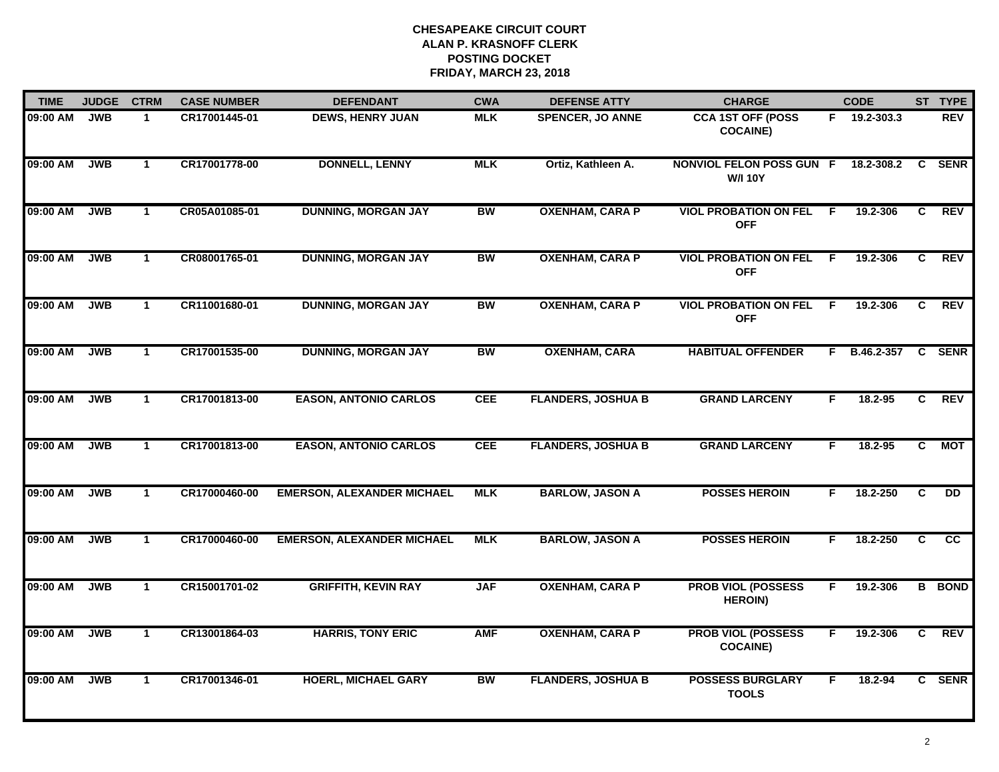| <b>TIME</b> | <b>JUDGE</b> | <b>CTRM</b>  | <b>CASE NUMBER</b> | <b>DEFENDANT</b>                  | <b>CWA</b> | <b>DEFENSE ATTY</b>       | <b>CHARGE</b>                                |    | <b>CODE</b>        |                | ST TYPE       |
|-------------|--------------|--------------|--------------------|-----------------------------------|------------|---------------------------|----------------------------------------------|----|--------------------|----------------|---------------|
| 09:00 AM    | <b>JWB</b>   | 1.           | CR17001445-01      | <b>DEWS, HENRY JUAN</b>           | <b>MLK</b> | <b>SPENCER, JO ANNE</b>   | <b>CCA 1ST OFF (POSS</b><br><b>COCAINE)</b>  |    | $F = 19.2 - 303.3$ |                | <b>REV</b>    |
| 09:00 AM    | <b>JWB</b>   | $\mathbf 1$  | CR17001778-00      | <b>DONNELL, LENNY</b>             | <b>MLK</b> | Ortiz, Kathleen A.        | NONVIOL FELON POSS GUN F<br><b>W/I 10Y</b>   |    | 18.2-308.2         | $\mathbf{C}$   | <b>SENR</b>   |
| 09:00 AM    | <b>JWB</b>   | $\mathbf 1$  | CR05A01085-01      | <b>DUNNING, MORGAN JAY</b>        | <b>BW</b>  | <b>OXENHAM, CARA P</b>    | <b>VIOL PROBATION ON FEL</b><br><b>OFF</b>   | F. | 19.2-306           | C.             | REV           |
| 09:00 AM    | <b>JWB</b>   | $\mathbf{1}$ | CR08001765-01      | <b>DUNNING, MORGAN JAY</b>        | <b>BW</b>  | <b>OXENHAM, CARA P</b>    | <b>VIOL PROBATION ON FEL</b><br><b>OFF</b>   | -F | 19.2-306           | C              | <b>REV</b>    |
| 09:00 AM    | <b>JWB</b>   | $\mathbf 1$  | CR11001680-01      | <b>DUNNING, MORGAN JAY</b>        | <b>BW</b>  | <b>OXENHAM, CARA P</b>    | <b>VIOL PROBATION ON FEL</b><br><b>OFF</b>   | F. | 19.2-306           | C              | <b>REV</b>    |
| 09:00 AM    | <b>JWB</b>   | $\mathbf 1$  | CR17001535-00      | <b>DUNNING, MORGAN JAY</b>        | <b>BW</b>  | <b>OXENHAM, CARA</b>      | <b>HABITUAL OFFENDER</b>                     |    | F B.46.2-357       | C              | <b>SENR</b>   |
| 09:00 AM    | <b>JWB</b>   | $\mathbf{1}$ | CR17001813-00      | <b>EASON, ANTONIO CARLOS</b>      | <b>CEE</b> | <b>FLANDERS, JOSHUA B</b> | <b>GRAND LARCENY</b>                         | F  | 18.2-95            | $\overline{c}$ | <b>REV</b>    |
| 09:00 AM    | <b>JWB</b>   | $\mathbf 1$  | CR17001813-00      | <b>EASON, ANTONIO CARLOS</b>      | <b>CEE</b> | <b>FLANDERS, JOSHUA B</b> | <b>GRAND LARCENY</b>                         | F. | 18.2-95            | $\overline{c}$ | <b>MOT</b>    |
| 09:00 AM    | <b>JWB</b>   | $\mathbf{1}$ | CR17000460-00      | <b>EMERSON, ALEXANDER MICHAEL</b> | <b>MLK</b> | <b>BARLOW, JASON A</b>    | <b>POSSES HEROIN</b>                         | F. | 18.2-250           | C              | DD            |
| 09:00 AM    | <b>JWB</b>   | $\mathbf{1}$ | CR17000460-00      | <b>EMERSON, ALEXANDER MICHAEL</b> | <b>MLK</b> | <b>BARLOW, JASON A</b>    | <b>POSSES HEROIN</b>                         | F. | 18.2-250           | C              | cc            |
| 09:00 AM    | <b>JWB</b>   | $\mathbf{1}$ | CR15001701-02      | <b>GRIFFITH, KEVIN RAY</b>        | <b>JAF</b> | <b>OXENHAM, CARA P</b>    | <b>PROB VIOL (POSSESS</b><br><b>HEROIN)</b>  | F. | 19.2-306           |                | <b>B</b> BOND |
| 09:00 AM    | <b>JWB</b>   | $\mathbf{1}$ | CR13001864-03      | <b>HARRIS, TONY ERIC</b>          | <b>AMF</b> | <b>OXENHAM, CARA P</b>    | <b>PROB VIOL (POSSESS</b><br><b>COCAINE)</b> | F. | 19.2-306           | C              | <b>REV</b>    |
| 09:00 AM    | <b>JWB</b>   | $\mathbf 1$  | CR17001346-01      | <b>HOERL, MICHAEL GARY</b>        | <b>BW</b>  | <b>FLANDERS, JOSHUA B</b> | <b>POSSESS BURGLARY</b><br><b>TOOLS</b>      | F. | 18.2-94            |                | C SENR        |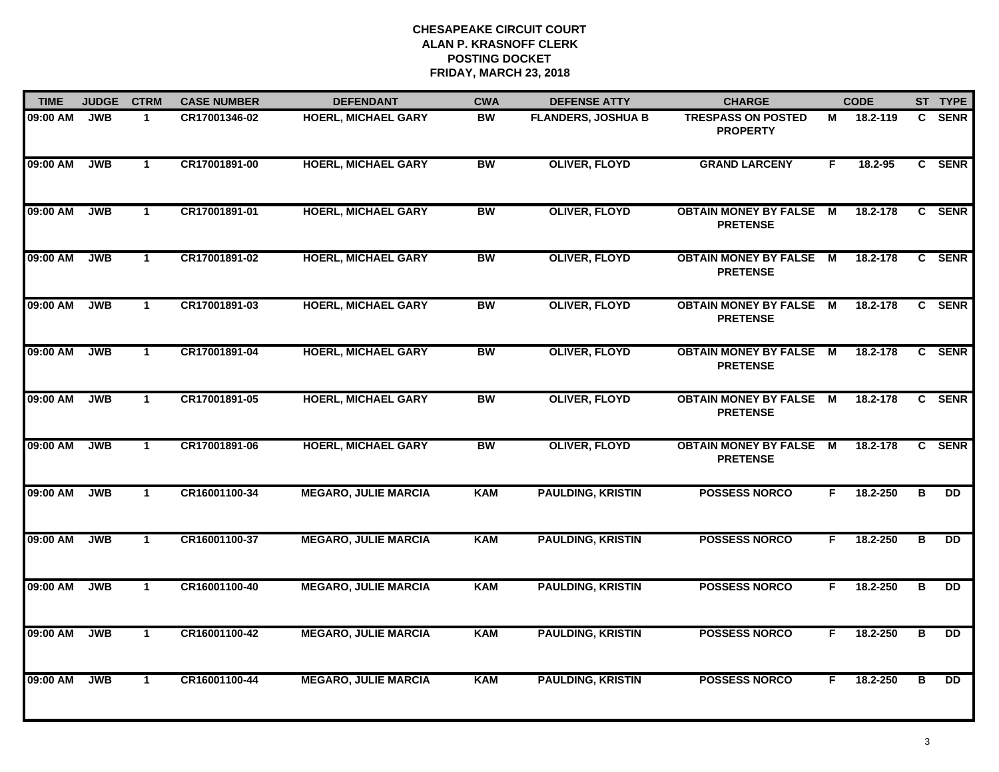| <b>TIME</b> | <b>JUDGE</b> | <b>CTRM</b>  | <b>CASE NUMBER</b> | <b>DEFENDANT</b>            | <b>CWA</b> | <b>DEFENSE ATTY</b>       | <b>CHARGE</b>                                     |    | <b>CODE</b> |                         | ST TYPE         |
|-------------|--------------|--------------|--------------------|-----------------------------|------------|---------------------------|---------------------------------------------------|----|-------------|-------------------------|-----------------|
| 09:00 AM    | <b>JWB</b>   | $\mathbf 1$  | CR17001346-02      | <b>HOERL, MICHAEL GARY</b>  | <b>BW</b>  | <b>FLANDERS, JOSHUA B</b> | <b>TRESPASS ON POSTED</b><br><b>PROPERTY</b>      | м  | 18.2-119    | C.                      | <b>SENR</b>     |
| 09:00 AM    | <b>JWB</b>   | $\mathbf{1}$ | CR17001891-00      | <b>HOERL, MICHAEL GARY</b>  | <b>BW</b>  | <b>OLIVER, FLOYD</b>      | <b>GRAND LARCENY</b>                              | F. | 18.2-95     |                         | C SENR          |
| 09:00 AM    | <b>JWB</b>   | $\mathbf{1}$ | CR17001891-01      | <b>HOERL, MICHAEL GARY</b>  | <b>BW</b>  | <b>OLIVER, FLOYD</b>      | <b>OBTAIN MONEY BY FALSE M</b><br><b>PRETENSE</b> |    | 18.2-178    |                         | C SENR          |
| 09:00 AM    | <b>JWB</b>   | $\mathbf{1}$ | CR17001891-02      | <b>HOERL, MICHAEL GARY</b>  | <b>BW</b>  | <b>OLIVER, FLOYD</b>      | <b>OBTAIN MONEY BY FALSE M</b><br><b>PRETENSE</b> |    | 18.2-178    |                         | C SENR          |
| 09:00 AM    | <b>JWB</b>   | $\mathbf{1}$ | CR17001891-03      | <b>HOERL, MICHAEL GARY</b>  | <b>BW</b>  | <b>OLIVER, FLOYD</b>      | <b>OBTAIN MONEY BY FALSE M</b><br><b>PRETENSE</b> |    | 18.2-178    |                         | C SENR          |
| 09:00 AM    | <b>JWB</b>   | $\mathbf 1$  | CR17001891-04      | <b>HOERL, MICHAEL GARY</b>  | <b>BW</b>  | <b>OLIVER, FLOYD</b>      | <b>OBTAIN MONEY BY FALSE M</b><br><b>PRETENSE</b> |    | 18.2-178    |                         | C SENR          |
| 09:00 AM    | <b>JWB</b>   | $\mathbf{1}$ | CR17001891-05      | <b>HOERL, MICHAEL GARY</b>  | <b>BW</b>  | <b>OLIVER, FLOYD</b>      | <b>OBTAIN MONEY BY FALSE M</b><br><b>PRETENSE</b> |    | 18.2-178    |                         | C SENR          |
| 09:00 AM    | <b>JWB</b>   | $\mathbf 1$  | CR17001891-06      | <b>HOERL, MICHAEL GARY</b>  | <b>BW</b>  | <b>OLIVER, FLOYD</b>      | <b>OBTAIN MONEY BY FALSE M</b><br><b>PRETENSE</b> |    | 18.2-178    |                         | C SENR          |
| 09:00 AM    | <b>JWB</b>   | $\mathbf{1}$ | CR16001100-34      | <b>MEGARO, JULIE MARCIA</b> | <b>KAM</b> | <b>PAULDING, KRISTIN</b>  | <b>POSSESS NORCO</b>                              | F. | 18.2-250    | В                       | DD.             |
| 09:00 AM    | <b>JWB</b>   | $\mathbf{1}$ | CR16001100-37      | <b>MEGARO, JULIE MARCIA</b> | <b>KAM</b> | <b>PAULDING, KRISTIN</b>  | <b>POSSESS NORCO</b>                              | F. | 18.2-250    | в                       | DD.             |
| 09:00 AM    | <b>JWB</b>   | $\mathbf{1}$ | CR16001100-40      | <b>MEGARO, JULIE MARCIA</b> | <b>KAM</b> | <b>PAULDING, KRISTIN</b>  | <b>POSSESS NORCO</b>                              | F. | 18.2-250    | в                       | $\overline{DD}$ |
| 09:00 AM    | <b>JWB</b>   | $\mathbf{1}$ | CR16001100-42      | <b>MEGARO, JULIE MARCIA</b> | <b>KAM</b> | <b>PAULDING, KRISTIN</b>  | <b>POSSESS NORCO</b>                              | F. | 18.2-250    | $\overline{\mathbf{B}}$ | $\overline{D}$  |
| 09:00 AM    | <b>JWB</b>   | $\mathbf{1}$ | CR16001100-44      | <b>MEGARO, JULIE MARCIA</b> | <b>KAM</b> | <b>PAULDING, KRISTIN</b>  | <b>POSSESS NORCO</b>                              | F. | 18.2-250    | в                       | DD              |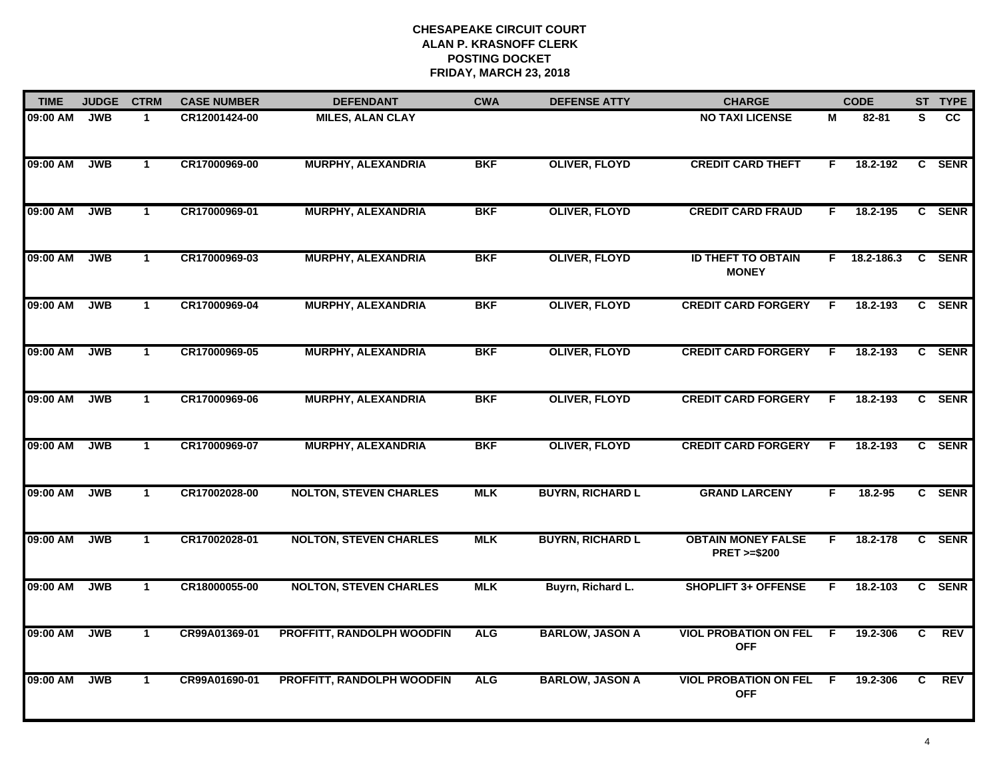| <b>TIME</b> | <b>JUDGE</b> | <b>CTRM</b>          | <b>CASE NUMBER</b> | <b>DEFENDANT</b>                  | <b>CWA</b> | <b>DEFENSE ATTY</b>     | <b>CHARGE</b>                                       |    | <b>CODE</b> |                | ST TYPE    |
|-------------|--------------|----------------------|--------------------|-----------------------------------|------------|-------------------------|-----------------------------------------------------|----|-------------|----------------|------------|
| 09:00 AM    | <b>JWB</b>   | 1                    | CR12001424-00      | <b>MILES, ALAN CLAY</b>           |            |                         | <b>NO TAXI LICENSE</b>                              | M  | 82-81       | S              | <b>CC</b>  |
| 09:00 AM    | <b>JWB</b>   | $\mathbf{1}$         | CR17000969-00      | <b>MURPHY, ALEXANDRIA</b>         | <b>BKF</b> | <b>OLIVER, FLOYD</b>    | <b>CREDIT CARD THEFT</b>                            | F. | 18.2-192    |                | C SENR     |
| 09:00 AM    | <b>JWB</b>   | $\mathbf 1$          | CR17000969-01      | <b>MURPHY, ALEXANDRIA</b>         | <b>BKF</b> | <b>OLIVER, FLOYD</b>    | <b>CREDIT CARD FRAUD</b>                            | F. | 18.2-195    |                | C SENR     |
| 09:00 AM    | <b>JWB</b>   | 1                    | CR17000969-03      | <b>MURPHY, ALEXANDRIA</b>         | <b>BKF</b> | <b>OLIVER, FLOYD</b>    | <b>ID THEFT TO OBTAIN</b><br><b>MONEY</b>           | F. | 18.2-186.3  |                | C SENR     |
| 09:00 AM    | <b>JWB</b>   | $\mathbf{1}$         | CR17000969-04      | <b>MURPHY, ALEXANDRIA</b>         | <b>BKF</b> | <b>OLIVER, FLOYD</b>    | <b>CREDIT CARD FORGERY</b>                          | E  | 18.2-193    |                | C SENR     |
| 09:00 AM    | <b>JWB</b>   | $\mathbf 1$          | CR17000969-05      | <b>MURPHY, ALEXANDRIA</b>         | <b>BKF</b> | <b>OLIVER, FLOYD</b>    | <b>CREDIT CARD FORGERY</b>                          | F  | 18.2-193    |                | C SENR     |
| 09:00 AM    | <b>JWB</b>   | $\mathbf{1}$         | CR17000969-06      | <b>MURPHY, ALEXANDRIA</b>         | <b>BKF</b> | <b>OLIVER, FLOYD</b>    | <b>CREDIT CARD FORGERY</b>                          | F. | 18.2-193    |                | C SENR     |
| 09:00 AM    | <b>JWB</b>   | $\mathbf 1$          | CR17000969-07      | <b>MURPHY, ALEXANDRIA</b>         | <b>BKF</b> | <b>OLIVER, FLOYD</b>    | <b>CREDIT CARD FORGERY</b>                          | F  | 18.2-193    |                | C SENR     |
| 09:00 AM    | <b>JWB</b>   | $\mathbf{1}$         | CR17002028-00      | <b>NOLTON, STEVEN CHARLES</b>     | <b>MLK</b> | <b>BUYRN, RICHARD L</b> | <b>GRAND LARCENY</b>                                | F. | 18.2-95     |                | C SENR     |
| 09:00 AM    | <b>JWB</b>   | $\mathbf{1}$         | CR17002028-01      | <b>NOLTON, STEVEN CHARLES</b>     | <b>MLK</b> | <b>BUYRN, RICHARD L</b> | <b>OBTAIN MONEY FALSE</b><br><b>PRET &gt;=\$200</b> | F. | 18.2-178    |                | C SENR     |
| 09:00 AM    | <b>JWB</b>   | $\blacktriangleleft$ | CR18000055-00      | <b>NOLTON, STEVEN CHARLES</b>     | <b>MLK</b> | Buyrn, Richard L.       | <b>SHOPLIFT 3+ OFFENSE</b>                          | E  | 18.2-103    |                | C SENR     |
| 09:00 AM    | <b>JWB</b>   | $\mathbf{1}$         | CR99A01369-01      | PROFFITT, RANDOLPH WOODFIN        | <b>ALG</b> | <b>BARLOW, JASON A</b>  | <b>VIOL PROBATION ON FEL</b><br><b>OFF</b>          | E  | 19.2-306    | $\overline{c}$ | <b>REV</b> |
| 09:00 AM    | <b>JWB</b>   | $\mathbf 1$          | CR99A01690-01      | <b>PROFFITT, RANDOLPH WOODFIN</b> | <b>ALG</b> | <b>BARLOW, JASON A</b>  | <b>VIOL PROBATION ON FEL</b><br><b>OFF</b>          | E  | 19.2-306    | C.             | REV        |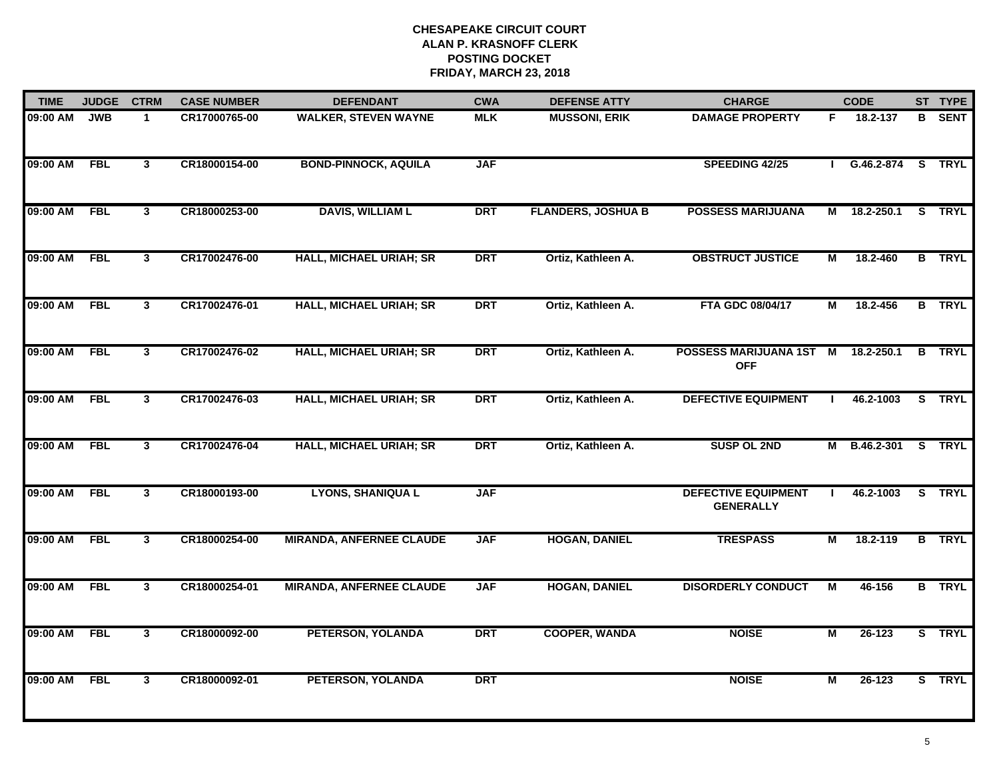| <b>TIME</b> | <b>JUDGE</b> | <b>CTRM</b>  | <b>CASE NUMBER</b> | <b>DEFENDANT</b>                | <b>CWA</b> | <b>DEFENSE ATTY</b>       | <b>CHARGE</b>                                  |    | <b>CODE</b>       | ST TYPE       |
|-------------|--------------|--------------|--------------------|---------------------------------|------------|---------------------------|------------------------------------------------|----|-------------------|---------------|
| 09:00 AM    | <b>JWB</b>   | $\mathbf 1$  | CR17000765-00      | <b>WALKER, STEVEN WAYNE</b>     | <b>MLK</b> | <b>MUSSONI, ERIK</b>      | <b>DAMAGE PROPERTY</b>                         | F. | 18.2-137          | <b>B</b> SENT |
| 09:00 AM    | <b>FBL</b>   | $\mathbf{3}$ | CR18000154-00      | <b>BOND-PINNOCK, AQUILA</b>     | <b>JAF</b> |                           | SPEEDING 42/25                                 |    | G.46.2-874 S TRYL |               |
| 09:00 AM    | <b>FBL</b>   | $\mathbf{3}$ | CR18000253-00      | <b>DAVIS, WILLIAM L</b>         | <b>DRT</b> | <b>FLANDERS, JOSHUA B</b> | <b>POSSESS MARIJUANA</b>                       |    | M 18.2-250.1      | S TRYL        |
| 09:00 AM    | <b>FBL</b>   | 3            | CR17002476-00      | <b>HALL, MICHAEL URIAH; SR</b>  | <b>DRT</b> | Ortiz, Kathleen A.        | <b>OBSTRUCT JUSTICE</b>                        | М  | 18.2-460          | <b>B</b> TRYL |
| 09:00 AM    | <b>FBL</b>   | $\mathbf{3}$ | CR17002476-01      | <b>HALL, MICHAEL URIAH; SR</b>  | <b>DRT</b> | Ortiz, Kathleen A.        | FTA GDC 08/04/17                               | М  | 18.2-456          | <b>B</b> TRYL |
| 09:00 AM    | <b>FBL</b>   | $\mathbf{3}$ | CR17002476-02      | <b>HALL, MICHAEL URIAH; SR</b>  | <b>DRT</b> | Ortiz, Kathleen A.        | POSSESS MARIJUANA 1ST<br><b>OFF</b>            | M  | 18.2-250.1        | <b>B</b> TRYL |
| 09:00 AM    | <b>FBL</b>   | $\mathbf{3}$ | CR17002476-03      | <b>HALL, MICHAEL URIAH; SR</b>  | <b>DRT</b> | Ortiz, Kathleen A.        | <b>DEFECTIVE EQUIPMENT</b>                     | Ι. | 46.2-1003         | S TRYL        |
| 09:00 AM    | <b>FBL</b>   | 3            | CR17002476-04      | <b>HALL, MICHAEL URIAH; SR</b>  | <b>DRT</b> | Ortiz, Kathleen A.        | <b>SUSP OL 2ND</b>                             |    | M B.46.2-301      | S TRYL        |
| 09:00 AM    | <b>FBL</b>   | 3            | CR18000193-00      | <b>LYONS, SHANIQUA L</b>        | <b>JAF</b> |                           | <b>DEFECTIVE EQUIPMENT</b><br><b>GENERALLY</b> |    | 46.2-1003         | S TRYL        |
| 09:00 AM    | <b>FBL</b>   | $\mathbf{3}$ | CR18000254-00      | <b>MIRANDA, ANFERNEE CLAUDE</b> | <b>JAF</b> | <b>HOGAN, DANIEL</b>      | <b>TRESPASS</b>                                | М  | 18.2-119          | <b>B</b> TRYL |
| 09:00 AM    | <b>FBL</b>   | $\mathbf{3}$ | CR18000254-01      | <b>MIRANDA, ANFERNEE CLAUDE</b> | <b>JAF</b> | <b>HOGAN, DANIEL</b>      | <b>DISORDERLY CONDUCT</b>                      | М  | 46-156            | <b>B</b> TRYL |
| 09:00 AM    | <b>FBL</b>   | 3            | CR18000092-00      | PETERSON, YOLANDA               | <b>DRT</b> | <b>COOPER, WANDA</b>      | <b>NOISE</b>                                   | M  | $26 - 123$        | S TRYL        |
| 09:00 AM    | <b>FBL</b>   | 3            | CR18000092-01      | PETERSON, YOLANDA               | <b>DRT</b> |                           | <b>NOISE</b>                                   | М  | 26-123            | S TRYL        |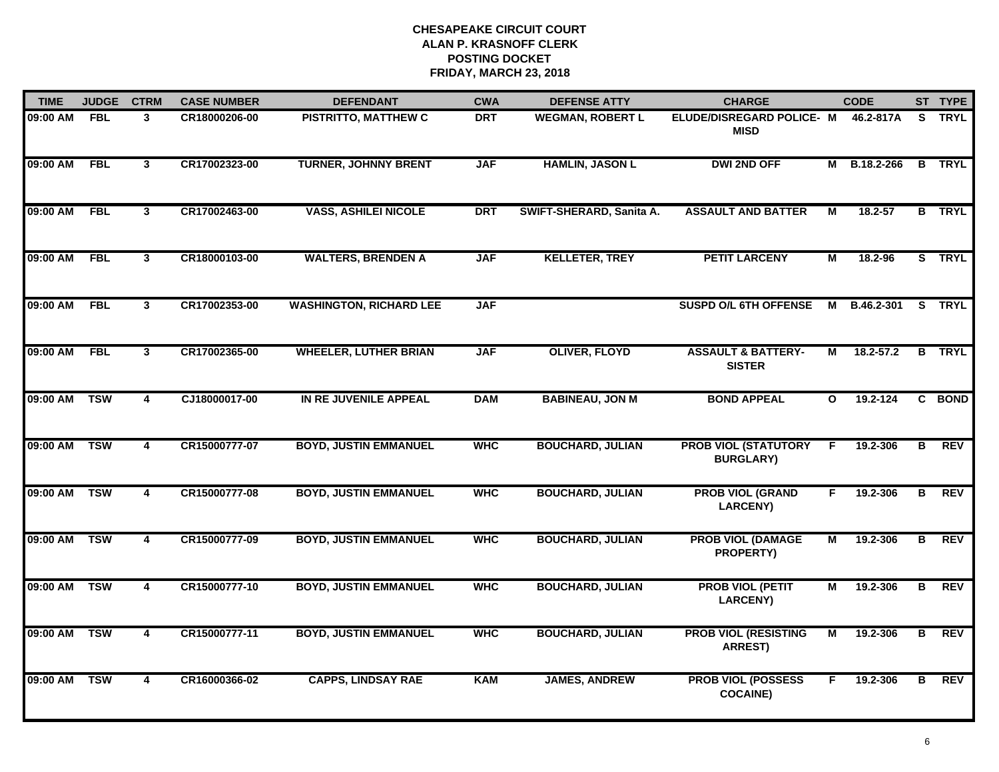| <b>TIME</b> | <b>JUDGE</b> | <b>CTRM</b>    | <b>CASE NUMBER</b> | <b>DEFENDANT</b>               | <b>CWA</b> | <b>DEFENSE ATTY</b>      | <b>CHARGE</b>                                   |              | <b>CODE</b>   |    | ST TYPE       |
|-------------|--------------|----------------|--------------------|--------------------------------|------------|--------------------------|-------------------------------------------------|--------------|---------------|----|---------------|
| 09:00 AM    | <b>FBL</b>   | 3              | CR18000206-00      | PISTRITTO, MATTHEW C           | <b>DRT</b> | <b>WEGMAN, ROBERT L</b>  | ELUDE/DISREGARD POLICE- M<br><b>MISD</b>        |              | 46.2-817A     | S. | <b>TRYL</b>   |
| 09:00 AM    | <b>FBL</b>   | $\mathbf{3}$   | CR17002323-00      | <b>TURNER, JOHNNY BRENT</b>    | <b>JAF</b> | <b>HAMLIN, JASON L</b>   | <b>DWI 2ND OFF</b>                              |              | M B.18.2-266  |    | <b>B</b> TRYL |
| 09:00 AM    | <b>FBL</b>   | 3              | CR17002463-00      | <b>VASS, ASHILEI NICOLE</b>    | <b>DRT</b> | SWIFT-SHERARD, Sanita A. | <b>ASSAULT AND BATTER</b>                       | м            | 18.2-57       |    | <b>B</b> TRYL |
| 09:00 AM    | <b>FBL</b>   | 3              | CR18000103-00      | <b>WALTERS, BRENDEN A</b>      | <b>JAF</b> | <b>KELLETER, TREY</b>    | <b>PETIT LARCENY</b>                            | м            | 18.2-96       |    | S TRYL        |
| 09:00 AM    | <b>FBL</b>   | 3 <sup>1</sup> | CR17002353-00      | <b>WASHINGTON, RICHARD LEE</b> | <b>JAF</b> |                          | <b>SUSPD O/L 6TH OFFENSE</b>                    | M            | B.46.2-301    |    | S TRYL        |
| 09:00 AM    | <b>FBL</b>   | $\mathbf{3}$   | CR17002365-00      | <b>WHEELER, LUTHER BRIAN</b>   | <b>JAF</b> | <b>OLIVER, FLOYD</b>     | <b>ASSAULT &amp; BATTERY-</b><br><b>SISTER</b>  | М            | $18.2 - 57.2$ |    | <b>B</b> TRYL |
| 09:00 AM    | <b>TSW</b>   | 4              | CJ18000017-00      | IN RE JUVENILE APPEAL          | <b>DAM</b> | <b>BABINEAU, JON M</b>   | <b>BOND APPEAL</b>                              | $\mathbf{o}$ | 19.2-124      |    | C BOND        |
| 09:00 AM    | <b>TSW</b>   | 4              | CR15000777-07      | <b>BOYD, JUSTIN EMMANUEL</b>   | <b>WHC</b> | <b>BOUCHARD, JULIAN</b>  | <b>PROB VIOL (STATUTORY</b><br><b>BURGLARY)</b> | F            | 19.2-306      | в  | <b>REV</b>    |
| 09:00 AM    | <b>TSW</b>   | 4              | CR15000777-08      | <b>BOYD, JUSTIN EMMANUEL</b>   | <b>WHC</b> | <b>BOUCHARD, JULIAN</b>  | <b>PROB VIOL (GRAND</b><br><b>LARCENY)</b>      | F.           | 19.2-306      | в  | <b>REV</b>    |
| 09:00 AM    | <b>TSW</b>   | $\overline{4}$ | CR15000777-09      | <b>BOYD, JUSTIN EMMANUEL</b>   | <b>WHC</b> | <b>BOUCHARD, JULIAN</b>  | <b>PROB VIOL (DAMAGE</b><br>PROPERTY)           | М            | 19.2-306      | В  | <b>REV</b>    |
| 09:00 AM    | <b>TSW</b>   | 4              | CR15000777-10      | <b>BOYD, JUSTIN EMMANUEL</b>   | <b>WHC</b> | <b>BOUCHARD, JULIAN</b>  | <b>PROB VIOL (PETIT</b><br><b>LARCENY)</b>      | М            | 19.2-306      | В  | <b>REV</b>    |
| 09:00 AM    | <b>TSW</b>   | $\overline{4}$ | CR15000777-11      | <b>BOYD, JUSTIN EMMANUEL</b>   | <b>WHC</b> | <b>BOUCHARD, JULIAN</b>  | <b>PROB VIOL (RESISTING</b><br>ARREST)          | М            | 19.2-306      | B  | <b>REV</b>    |
| 09:00 AM    | <b>TSW</b>   | 4              | CR16000366-02      | <b>CAPPS, LINDSAY RAE</b>      | <b>KAM</b> | <b>JAMES, ANDREW</b>     | <b>PROB VIOL (POSSESS</b><br><b>COCAINE)</b>    | F.           | 19.2-306      | B  | REV           |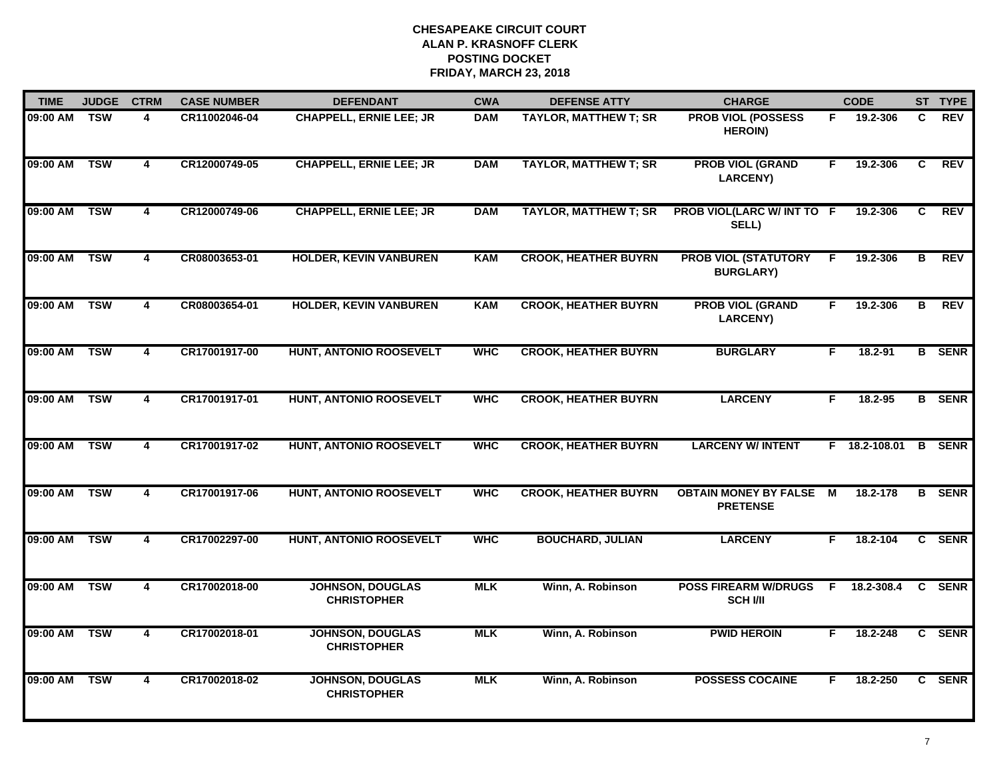| <b>TIME</b>  | <b>JUDGE</b> | <b>CTRM</b>             | <b>CASE NUMBER</b> | <b>DEFENDANT</b>                              | <b>CWA</b> | <b>DEFENSE ATTY</b>          | <b>CHARGE</b>                                       |    | <b>CODE</b>     |                | ST TYPE       |
|--------------|--------------|-------------------------|--------------------|-----------------------------------------------|------------|------------------------------|-----------------------------------------------------|----|-----------------|----------------|---------------|
| 09:00 AM     | <b>TSW</b>   | 4                       | CR11002046-04      | <b>CHAPPELL, ERNIE LEE; JR</b>                | <b>DAM</b> | <b>TAYLOR, MATTHEW T; SR</b> | <b>PROB VIOL (POSSESS</b><br><b>HEROIN)</b>         | F. | 19.2-306        | C              | <b>REV</b>    |
| 09:00 AM     | <b>TSW</b>   | $\overline{\mathbf{4}}$ | CR12000749-05      | <b>CHAPPELL, ERNIE LEE; JR</b>                | <b>DAM</b> | <b>TAYLOR, MATTHEW T; SR</b> | <b>PROB VIOL (GRAND</b><br><b>LARCENY)</b>          | F  | 19.2-306        | $\overline{c}$ | <b>REV</b>    |
| 09:00 AM TSW |              | 4                       | CR12000749-06      | <b>CHAPPELL, ERNIE LEE; JR</b>                | <b>DAM</b> | <b>TAYLOR, MATTHEW T; SR</b> | PROB VIOL(LARC W/ INT TO F<br>SELL)                 |    | 19.2-306        | C.             | <b>REV</b>    |
| 09:00 AM     | <b>TSW</b>   | 4                       | CR08003653-01      | <b>HOLDER, KEVIN VANBUREN</b>                 | <b>KAM</b> | <b>CROOK, HEATHER BUYRN</b>  | <b>PROB VIOL (STATUTORY</b><br><b>BURGLARY)</b>     | E  | 19.2-306        | в              | <b>REV</b>    |
| 09:00 AM     | <b>TSW</b>   | 4                       | CR08003654-01      | <b>HOLDER, KEVIN VANBUREN</b>                 | <b>KAM</b> | <b>CROOK, HEATHER BUYRN</b>  | <b>PROB VIOL (GRAND</b><br><b>LARCENY)</b>          | F. | 19.2-306        | B              | <b>REV</b>    |
| 09:00 AM     | <b>TSW</b>   | 4                       | CR17001917-00      | HUNT, ANTONIO ROOSEVELT                       | <b>WHC</b> | <b>CROOK, HEATHER BUYRN</b>  | <b>BURGLARY</b>                                     | F. | 18.2-91         |                | <b>B</b> SENR |
| 09:00 AM     | <b>TSW</b>   | $\overline{4}$          | CR17001917-01      | <b>HUNT, ANTONIO ROOSEVELT</b>                | <b>WHC</b> | <b>CROOK, HEATHER BUYRN</b>  | <b>LARCENY</b>                                      | F  | 18.2-95         |                | <b>B</b> SENR |
| 09:00 AM     | <b>TSW</b>   | 4                       | CR17001917-02      | <b>HUNT, ANTONIO ROOSEVELT</b>                | <b>WHC</b> | <b>CROOK, HEATHER BUYRN</b>  | <b>LARCENY W/ INTENT</b>                            |    | $F$ 18.2-108.01 |                | <b>B</b> SENR |
| 09:00 AM     | <b>TSW</b>   | 4                       | CR17001917-06      | <b>HUNT, ANTONIO ROOSEVELT</b>                | <b>WHC</b> | <b>CROOK, HEATHER BUYRN</b>  | <b>OBTAIN MONEY BY FALSE</b><br><b>PRETENSE</b>     | M  | 18.2-178        |                | <b>B</b> SENR |
| 09:00 AM     | <b>TSW</b>   | $\overline{\mathbf{4}}$ | CR17002297-00      | <b>HUNT, ANTONIO ROOSEVELT</b>                | <b>WHC</b> | <b>BOUCHARD, JULIAN</b>      | <b>LARCENY</b>                                      | F. | 18.2-104        |                | C SENR        |
| 09:00 AM TSW |              | 4                       | CR17002018-00      | <b>JOHNSON, DOUGLAS</b><br><b>CHRISTOPHER</b> | <b>MLK</b> | Winn, A. Robinson            | POSS FIREARM W/DRUGS F 18.2-308.4<br><b>SCH VII</b> |    |                 |                | C SENR        |
| 09:00 AM TSW |              | $\overline{4}$          | CR17002018-01      | <b>JOHNSON, DOUGLAS</b><br><b>CHRISTOPHER</b> | <b>MLK</b> | Winn, A. Robinson            | <b>PWID HEROIN</b>                                  | F. | 18.2-248        |                | C SENR        |
| 09:00 AM     | <b>TSW</b>   | 4                       | CR17002018-02      | <b>JOHNSON, DOUGLAS</b><br><b>CHRISTOPHER</b> | <b>MLK</b> | Winn, A. Robinson            | <b>POSSESS COCAINE</b>                              | F. | 18.2-250        |                | C SENR        |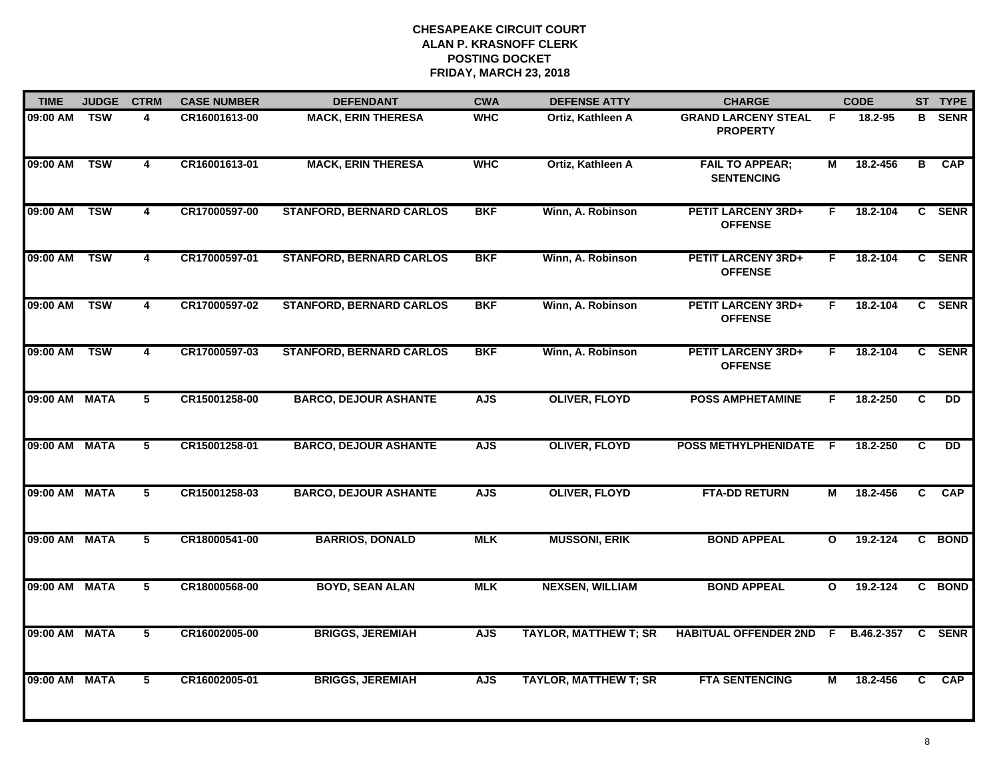| <b>TIME</b>   | <b>JUDGE</b> | <b>CTRM</b>             | <b>CASE NUMBER</b> | <b>DEFENDANT</b>                | <b>CWA</b> | <b>DEFENSE ATTY</b>          | <b>CHARGE</b>                                 |              | <b>CODE</b> |                         | ST TYPE         |
|---------------|--------------|-------------------------|--------------------|---------------------------------|------------|------------------------------|-----------------------------------------------|--------------|-------------|-------------------------|-----------------|
| 09:00 AM      | <b>TSW</b>   | 4                       | CR16001613-00      | <b>MACK, ERIN THERESA</b>       | <b>WHC</b> | Ortiz, Kathleen A            | <b>GRAND LARCENY STEAL</b><br><b>PROPERTY</b> | F            | 18.2-95     | B.                      | <b>SENR</b>     |
| 09:00 AM      | <b>TSW</b>   | $\overline{\mathbf{4}}$ | CR16001613-01      | <b>MACK, ERIN THERESA</b>       | <b>WHC</b> | Ortiz, Kathleen A            | <b>FAIL TO APPEAR;</b><br><b>SENTENCING</b>   | М            | 18.2-456    | $\overline{\mathbf{B}}$ | CAP             |
| 09:00 AM      | <b>TSW</b>   | 4                       | CR17000597-00      | <b>STANFORD, BERNARD CARLOS</b> | <b>BKF</b> | Winn, A. Robinson            | <b>PETIT LARCENY 3RD+</b><br><b>OFFENSE</b>   | F.           | 18.2-104    |                         | C SENR          |
| 09:00 AM      | <b>TSW</b>   | 4                       | CR17000597-01      | <b>STANFORD, BERNARD CARLOS</b> | <b>BKF</b> | Winn, A. Robinson            | <b>PETIT LARCENY 3RD+</b><br><b>OFFENSE</b>   | F.           | 18.2-104    |                         | C SENR          |
| 09:00 AM      | <b>TSW</b>   | $\overline{4}$          | CR17000597-02      | <b>STANFORD, BERNARD CARLOS</b> | <b>BKF</b> | Winn, A. Robinson            | <b>PETIT LARCENY 3RD+</b><br><b>OFFENSE</b>   | F.           | 18.2-104    |                         | C SENR          |
| 09:00 AM      | <b>TSW</b>   | 4                       | CR17000597-03      | <b>STANFORD, BERNARD CARLOS</b> | <b>BKF</b> | Winn, A. Robinson            | <b>PETIT LARCENY 3RD+</b><br><b>OFFENSE</b>   | F.           | 18.2-104    |                         | C SENR          |
| 09:00 AM MATA |              | 5                       | CR15001258-00      | <b>BARCO, DEJOUR ASHANTE</b>    | <b>AJS</b> | <b>OLIVER, FLOYD</b>         | <b>POSS AMPHETAMINE</b>                       | F.           | 18.2-250    | $\overline{c}$          | $\overline{D}$  |
| 09:00 AM MATA |              | 5                       | CR15001258-01      | <b>BARCO, DEJOUR ASHANTE</b>    | <b>AJS</b> | <b>OLIVER, FLOYD</b>         | POSS METHYLPHENIDATE F                        |              | 18.2-250    | C                       | $\overline{DD}$ |
| 09:00 AM MATA |              | 5                       | CR15001258-03      | <b>BARCO, DEJOUR ASHANTE</b>    | <b>AJS</b> | <b>OLIVER, FLOYD</b>         | <b>FTA-DD RETURN</b>                          | М            | 18.2-456    | C                       | <b>CAP</b>      |
| 09:00 AM MATA |              | 5                       | CR18000541-00      | <b>BARRIOS, DONALD</b>          | <b>MLK</b> | <b>MUSSONI, ERIK</b>         | <b>BOND APPEAL</b>                            | $\mathbf{o}$ | 19.2-124    |                         | C BOND          |
| 09:00 AM MATA |              | 5                       | CR18000568-00      | <b>BOYD, SEAN ALAN</b>          | <b>MLK</b> | <b>NEXSEN, WILLIAM</b>       | <b>BOND APPEAL</b>                            | $\mathbf{o}$ | 19.2-124    |                         | C BOND          |
| 09:00 AM MATA |              | $\overline{5}$          | CR16002005-00      | <b>BRIGGS, JEREMIAH</b>         | <b>AJS</b> | <b>TAYLOR, MATTHEW T; SR</b> | <b>HABITUAL OFFENDER 2ND</b>                  | F.           | B.46.2-357  |                         | C SENR          |
| 09:00 AM MATA |              | 5                       | CR16002005-01      | <b>BRIGGS, JEREMIAH</b>         | <b>AJS</b> | <b>TAYLOR, MATTHEW T; SR</b> | <b>FTA SENTENCING</b>                         | М            | 18.2-456    | C                       | <b>CAP</b>      |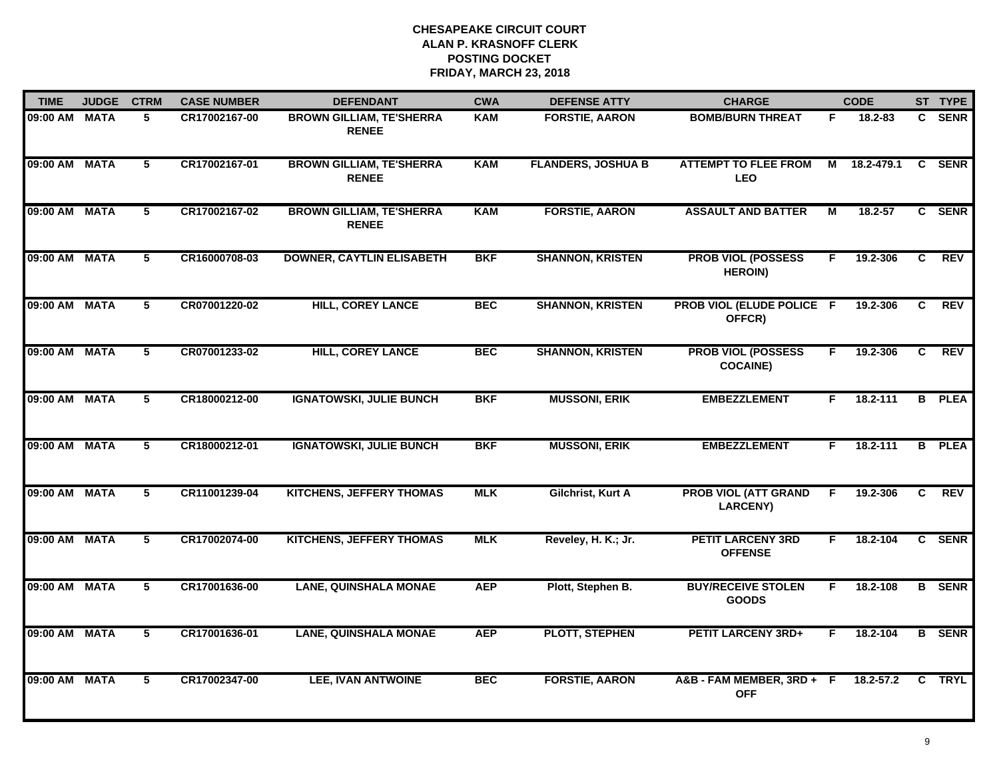| <b>TIME</b>   | <b>JUDGE</b> | <b>CTRM</b>    | <b>CASE NUMBER</b> | <b>DEFENDANT</b>                                | <b>CWA</b> | <b>DEFENSE ATTY</b>       | <b>CHARGE</b>                                  |    | <b>CODE</b> |                | ST TYPE       |
|---------------|--------------|----------------|--------------------|-------------------------------------------------|------------|---------------------------|------------------------------------------------|----|-------------|----------------|---------------|
| 09:00 AM MATA |              | 5              | CR17002167-00      | <b>BROWN GILLIAM, TE'SHERRA</b><br><b>RENEE</b> | <b>KAM</b> | <b>FORSTIE, AARON</b>     | <b>BOMB/BURN THREAT</b>                        | F. | 18.2-83     |                | C SENR        |
| 09:00 AM      | <b>MATA</b>  | 5              | CR17002167-01      | <b>BROWN GILLIAM, TE'SHERRA</b><br><b>RENEE</b> | <b>KAM</b> | <b>FLANDERS, JOSHUA B</b> | <b>ATTEMPT TO FLEE FROM</b><br><b>LEO</b>      | М  | 18.2-479.1  | C              | <b>SENR</b>   |
| 09:00 AM      | <b>MATA</b>  | 5              | CR17002167-02      | <b>BROWN GILLIAM, TE'SHERRA</b><br><b>RENEE</b> | <b>KAM</b> | <b>FORSTIE, AARON</b>     | <b>ASSAULT AND BATTER</b>                      | М  | 18.2-57     |                | C SENR        |
| 09:00 AM      | <b>MATA</b>  | 5              | CR16000708-03      | <b>DOWNER, CAYTLIN ELISABETH</b>                | <b>BKF</b> | <b>SHANNON, KRISTEN</b>   | <b>PROB VIOL (POSSESS</b><br><b>HEROIN)</b>    | F. | 19.2-306    | C              | <b>REV</b>    |
| 09:00 AM      | <b>MATA</b>  | 5              | CR07001220-02      | <b>HILL, COREY LANCE</b>                        | <b>BEC</b> | <b>SHANNON, KRISTEN</b>   | <b>PROB VIOL (ELUDE POLICE F</b><br>OFFCR)     |    | 19.2-306    | C              | <b>REV</b>    |
| 09:00 AM      | <b>MATA</b>  | 5              | CR07001233-02      | <b>HILL, COREY LANCE</b>                        | <b>BEC</b> | <b>SHANNON, KRISTEN</b>   | <b>PROB VIOL (POSSESS</b><br><b>COCAINE)</b>   | F. | 19.2-306    | C              | REV           |
| 09:00 AM      | <b>MATA</b>  | $\overline{5}$ | CR18000212-00      | <b>IGNATOWSKI, JULIE BUNCH</b>                  | <b>BKF</b> | <b>MUSSONI, ERIK</b>      | <b>EMBEZZLEMENT</b>                            | F. | 18.2-111    |                | <b>B</b> PLEA |
| 09:00 AM      | <b>MATA</b>  | 5              | CR18000212-01      | <b>IGNATOWSKI, JULIE BUNCH</b>                  | <b>BKF</b> | <b>MUSSONI, ERIK</b>      | <b>EMBEZZLEMENT</b>                            | F. | 18.2-111    | $\overline{B}$ | <b>PLEA</b>   |
| 09:00 AM      | <b>MATA</b>  | 5              | CR11001239-04      | <b>KITCHENS, JEFFERY THOMAS</b>                 | <b>MLK</b> | Gilchrist, Kurt A         | <b>PROB VIOL (ATT GRAND</b><br><b>LARCENY)</b> | F  | 19.2-306    | C              | <b>REV</b>    |
| 09:00 AM MATA |              | $\overline{5}$ | CR17002074-00      | <b>KITCHENS, JEFFERY THOMAS</b>                 | <b>MLK</b> | Reveley, H. K.; Jr.       | <b>PETIT LARCENY 3RD</b><br><b>OFFENSE</b>     | F. | 18.2-104    |                | C SENR        |
| 09:00 AM MATA |              | 5              | CR17001636-00      | <b>LANE, QUINSHALA MONAE</b>                    | <b>AEP</b> | Plott, Stephen B.         | <b>BUY/RECEIVE STOLEN</b><br><b>GOODS</b>      | F. | 18.2-108    |                | <b>B</b> SENR |
| 09:00 AM      | <b>MATA</b>  | $5^{\circ}$    | CR17001636-01      | <b>LANE, QUINSHALA MONAE</b>                    | <b>AEP</b> | <b>PLOTT, STEPHEN</b>     | <b>PETIT LARCENY 3RD+</b>                      | F. | 18.2-104    |                | <b>B</b> SENR |
| 09:00 AM      | <b>MATA</b>  | 5              | CR17002347-00      | <b>LEE, IVAN ANTWOINE</b>                       | <b>BEC</b> | <b>FORSTIE, AARON</b>     | A&B-FAM MEMBER, 3RD+ F<br><b>OFF</b>           |    | 18.2-57.2   | C              | <b>TRYL</b>   |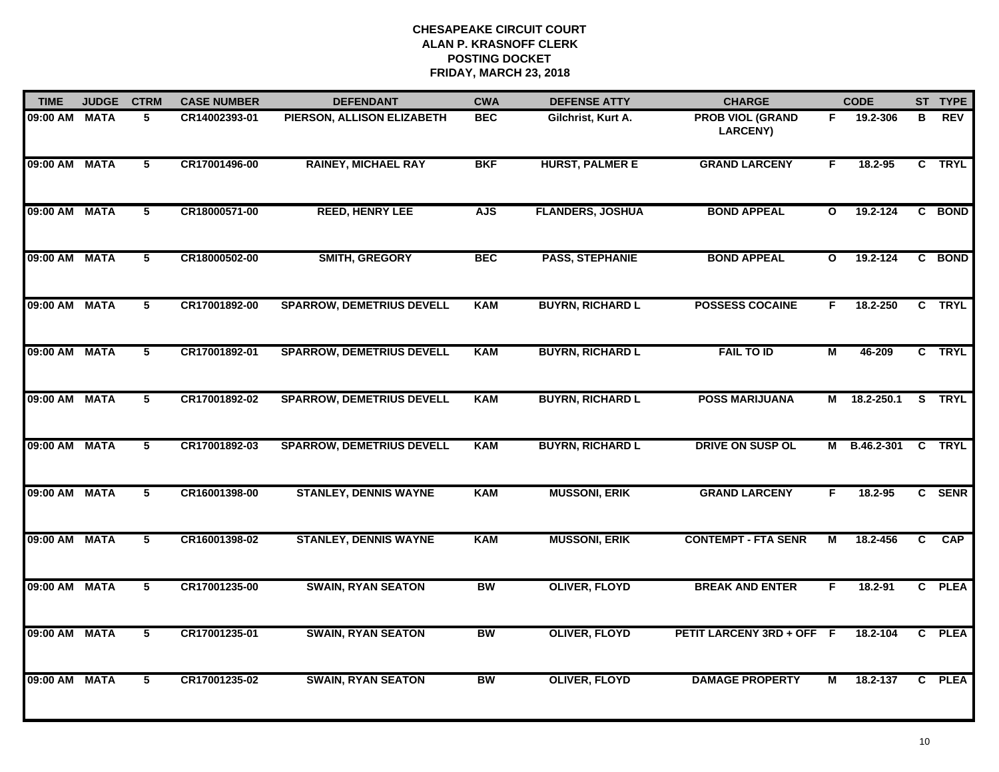| <b>TIME</b>   | <b>JUDGE</b> | <b>CTRM</b>             | <b>CASE NUMBER</b> | <b>DEFENDANT</b>                 | <b>CWA</b> | <b>DEFENSE ATTY</b>     | <b>CHARGE</b>                              |              | <b>CODE</b>  |                         | ST TYPE     |
|---------------|--------------|-------------------------|--------------------|----------------------------------|------------|-------------------------|--------------------------------------------|--------------|--------------|-------------------------|-------------|
| 09:00 AM MATA |              | 5                       | CR14002393-01      | PIERSON, ALLISON ELIZABETH       | <b>BEC</b> | Gilchrist, Kurt A.      | <b>PROB VIOL (GRAND</b><br><b>LARCENY)</b> | F.           | 19.2-306     | в                       | <b>REV</b>  |
| 09:00 AM MATA |              | $\overline{5}$          | CR17001496-00      | <b>RAINEY, MICHAEL RAY</b>       | <b>BKF</b> | <b>HURST, PALMER E</b>  | <b>GRAND LARCENY</b>                       | F.           | 18.2-95      | $\overline{c}$          | <b>TRYL</b> |
| 09:00 AM MATA |              | $\overline{5}$          | CR18000571-00      | <b>REED, HENRY LEE</b>           | <b>AJS</b> | <b>FLANDERS, JOSHUA</b> | <b>BOND APPEAL</b>                         | $\mathbf{o}$ | 19.2-124     |                         | C BOND      |
| 09:00 AM MATA |              | 5                       | CR18000502-00      | <b>SMITH, GREGORY</b>            | <b>BEC</b> | <b>PASS, STEPHANIE</b>  | <b>BOND APPEAL</b>                         | $\mathbf{o}$ | 19.2-124     |                         | C BOND      |
| 09:00 AM MATA |              | 5                       | CR17001892-00      | <b>SPARROW, DEMETRIUS DEVELL</b> | <b>KAM</b> | <b>BUYRN, RICHARD L</b> | <b>POSSESS COCAINE</b>                     | F.           | 18.2-250     |                         | C TRYL      |
| 09:00 AM MATA |              | 5                       | CR17001892-01      | <b>SPARROW, DEMETRIUS DEVELL</b> | <b>KAM</b> | <b>BUYRN, RICHARD L</b> | <b>FAIL TO ID</b>                          | М            | 46-209       |                         | C TRYL      |
| 09:00 AM MATA |              | $\overline{\mathbf{5}}$ | CR17001892-02      | <b>SPARROW, DEMETRIUS DEVELL</b> | <b>KAM</b> | <b>BUYRN, RICHARD L</b> | <b>POSS MARIJUANA</b>                      | М            | 18.2-250.1   | $\overline{\mathbf{s}}$ | <b>TRYL</b> |
| 09:00 AM MATA |              | 5                       | CR17001892-03      | <b>SPARROW, DEMETRIUS DEVELL</b> | <b>KAM</b> | <b>BUYRN, RICHARD L</b> | <b>DRIVE ON SUSP OL</b>                    |              | M B.46.2-301 | C                       | <b>TRYL</b> |
| 09:00 AM      | <b>MATA</b>  | 5                       | CR16001398-00      | <b>STANLEY, DENNIS WAYNE</b>     | <b>KAM</b> | <b>MUSSONI, ERIK</b>    | <b>GRAND LARCENY</b>                       | F            | 18.2-95      |                         | C SENR      |
| 09:00 AM MATA |              | 5                       | CR16001398-02      | <b>STANLEY, DENNIS WAYNE</b>     | <b>KAM</b> | <b>MUSSONI, ERIK</b>    | <b>CONTEMPT - FTA SENR</b>                 | М            | 18.2-456     | C.                      | <b>CAP</b>  |
| 09:00 AM MATA |              | $\overline{5}$          | CR17001235-00      | <b>SWAIN, RYAN SEATON</b>        | <b>BW</b>  | <b>OLIVER, FLOYD</b>    | <b>BREAK AND ENTER</b>                     | F.           | 18.2-91      |                         | C PLEA      |
| 09:00 AM MATA |              | $\overline{5}$          | CR17001235-01      | <b>SWAIN, RYAN SEATON</b>        | <b>BW</b>  | <b>OLIVER, FLOYD</b>    | PETIT LARCENY 3RD + OFF F                  |              | 18.2-104     |                         | C PLEA      |
| 09:00 AM MATA |              | 5                       | CR17001235-02      | <b>SWAIN, RYAN SEATON</b>        | <b>BW</b>  | <b>OLIVER, FLOYD</b>    | <b>DAMAGE PROPERTY</b>                     | М            | 18.2-137     |                         | C PLEA      |
|               |              |                         |                    |                                  |            |                         |                                            |              |              |                         |             |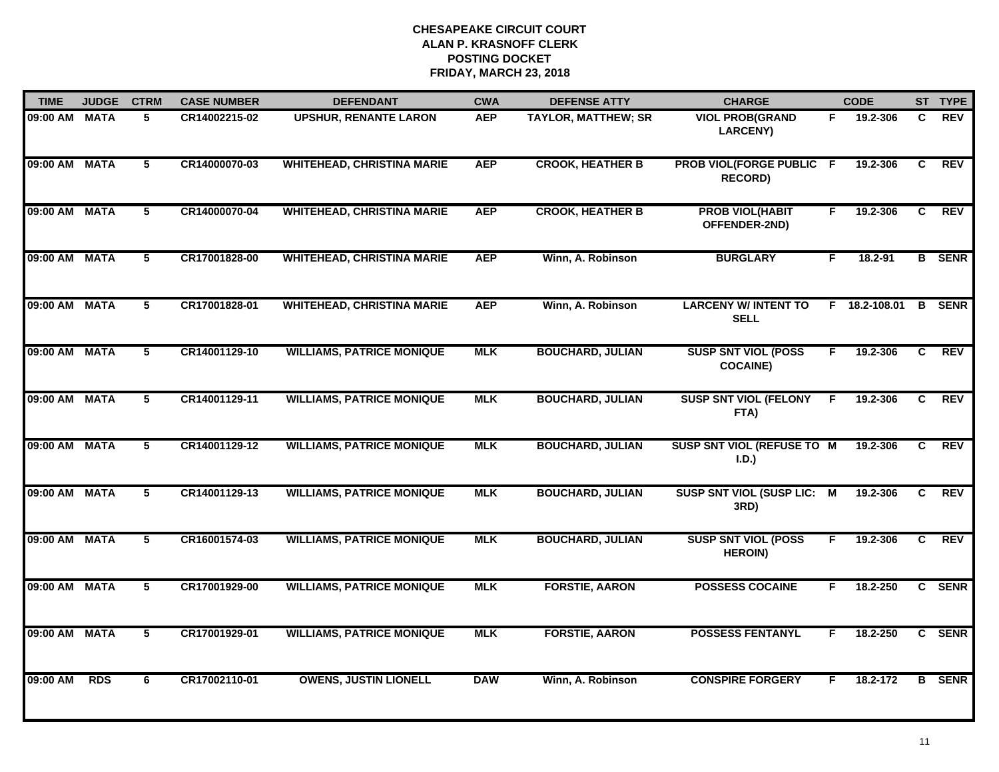| <b>TIME</b>   | <b>JUDGE</b> | <b>CTRM</b>    | <b>CASE NUMBER</b> | <b>DEFENDANT</b>                  | <b>CWA</b> | <b>DEFENSE ATTY</b>        | <b>CHARGE</b>                                     |    | <b>CODE</b>   |    | ST TYPE       |
|---------------|--------------|----------------|--------------------|-----------------------------------|------------|----------------------------|---------------------------------------------------|----|---------------|----|---------------|
| 09:00 AM MATA |              | 5              | CR14002215-02      | <b>UPSHUR, RENANTE LARON</b>      | <b>AEP</b> | <b>TAYLOR, MATTHEW; SR</b> | <b>VIOL PROB(GRAND</b><br><b>LARCENY)</b>         | F. | 19.2-306      | C  | <b>REV</b>    |
| 09:00 AM MATA |              | 5              | CR14000070-03      | <b>WHITEHEAD, CHRISTINA MARIE</b> | <b>AEP</b> | <b>CROOK, HEATHER B</b>    | <b>PROB VIOL(FORGE PUBLIC F</b><br><b>RECORD)</b> |    | 19.2-306      | C  | <b>REV</b>    |
| 09:00 AM MATA |              | 5              | CR14000070-04      | <b>WHITEHEAD, CHRISTINA MARIE</b> | <b>AEP</b> | <b>CROOK, HEATHER B</b>    | <b>PROB VIOL(HABIT</b><br>OFFENDER-2ND)           | F. | 19.2-306      | C. | <b>REV</b>    |
| 09:00 AM MATA |              | 5              | CR17001828-00      | <b>WHITEHEAD, CHRISTINA MARIE</b> | <b>AEP</b> | Winn, A. Robinson          | <b>BURGLARY</b>                                   | F. | 18.2-91       |    | <b>B</b> SENR |
| 09:00 AM MATA |              | 5              | CR17001828-01      | <b>WHITEHEAD, CHRISTINA MARIE</b> | <b>AEP</b> | Winn, A. Robinson          | <b>LARCENY W/ INTENT TO</b><br><b>SELL</b>        |    | F 18.2-108.01 |    | <b>B</b> SENR |
| 09:00 AM MATA |              | $5^{-}$        | CR14001129-10      | <b>WILLIAMS, PATRICE MONIQUE</b>  | <b>MLK</b> | <b>BOUCHARD, JULIAN</b>    | <b>SUSP SNT VIOL (POSS</b><br><b>COCAINE)</b>     | F. | 19.2-306      | C  | <b>REV</b>    |
| 09:00 AM MATA |              | $\overline{5}$ | CR14001129-11      | <b>WILLIAMS, PATRICE MONIQUE</b>  | <b>MLK</b> | <b>BOUCHARD, JULIAN</b>    | <b>SUSP SNT VIOL (FELONY</b><br>FTA)              | F. | 19.2-306      | C  | <b>REV</b>    |
| 09:00 AM MATA |              | 5              | CR14001129-12      | <b>WILLIAMS, PATRICE MONIQUE</b>  | <b>MLK</b> | <b>BOUCHARD, JULIAN</b>    | SUSP SNT VIOL (REFUSE TO M<br>I.D.)               |    | 19.2-306      | C. | <b>REV</b>    |
| 09:00 AM MATA |              | 5              | CR14001129-13      | <b>WILLIAMS, PATRICE MONIQUE</b>  | <b>MLK</b> | <b>BOUCHARD, JULIAN</b>    | <b>SUSP SNT VIOL (SUSP LIC: M</b><br>3RD)         |    | 19.2-306      | C  | <b>REV</b>    |
| 09:00 AM MATA |              | 5              | CR16001574-03      | <b>WILLIAMS, PATRICE MONIQUE</b>  | <b>MLK</b> | <b>BOUCHARD, JULIAN</b>    | <b>SUSP SNT VIOL (POSS</b><br><b>HEROIN)</b>      | F. | 19.2-306      | C  | <b>REV</b>    |
| 09:00 AM MATA |              | $\overline{5}$ | CR17001929-00      | <b>WILLIAMS, PATRICE MONIQUE</b>  | <b>MLK</b> | <b>FORSTIE, AARON</b>      | <b>POSSESS COCAINE</b>                            | F. | 18.2-250      |    | C SENR        |
| 09:00 AM MATA |              | 5              | CR17001929-01      | <b>WILLIAMS, PATRICE MONIQUE</b>  | <b>MLK</b> | <b>FORSTIE, AARON</b>      | <b>POSSESS FENTANYL</b>                           | F. | 18.2-250      |    | C SENR        |
| 09:00 AM      | <b>RDS</b>   | 6              | CR17002110-01      | <b>OWENS, JUSTIN LIONELL</b>      | <b>DAW</b> | Winn, A. Robinson          | <b>CONSPIRE FORGERY</b>                           | F. | 18.2-172      |    | <b>B</b> SENR |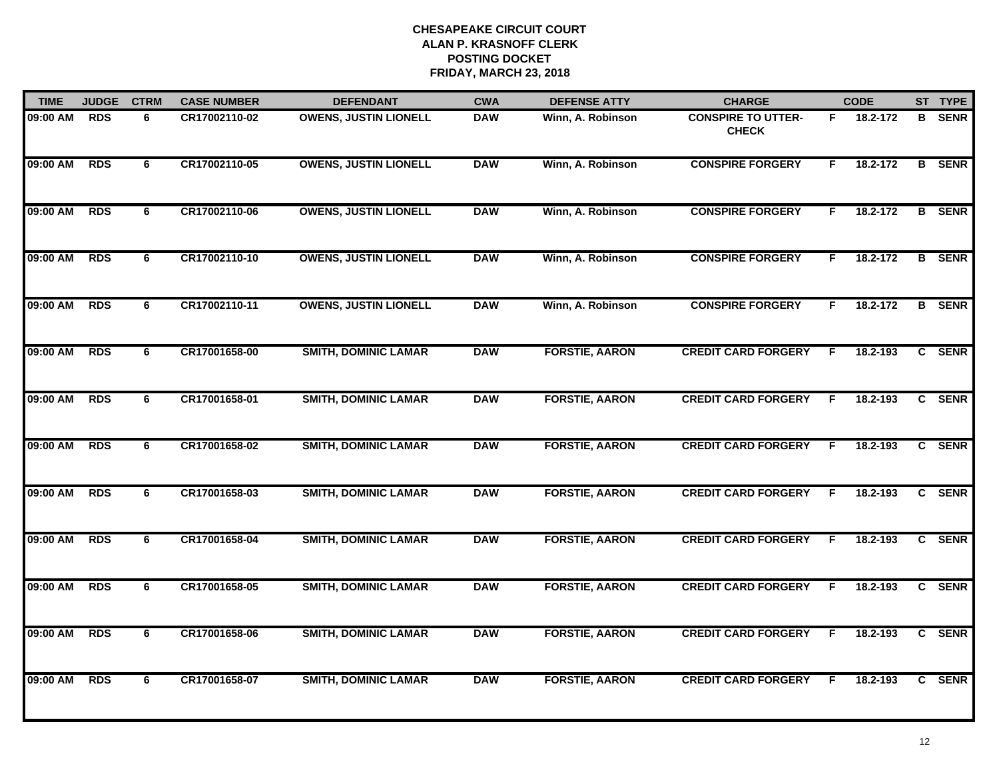| <b>TIME</b> | <b>JUDGE</b> | <b>CTRM</b> | <b>CASE NUMBER</b> | <b>DEFENDANT</b>             | <b>CWA</b> | <b>DEFENSE ATTY</b>   | <b>CHARGE</b>                             |    | <b>CODE</b> |   | ST TYPE       |
|-------------|--------------|-------------|--------------------|------------------------------|------------|-----------------------|-------------------------------------------|----|-------------|---|---------------|
| 09:00 AM    | <b>RDS</b>   | 6           | CR17002110-02      | <b>OWENS, JUSTIN LIONELL</b> | <b>DAW</b> | Winn, A. Robinson     | <b>CONSPIRE TO UTTER-</b><br><b>CHECK</b> | F. | 18.2-172    | в | <b>SENR</b>   |
| 09:00 AM    | <b>RDS</b>   | 6           | CR17002110-05      | <b>OWENS, JUSTIN LIONELL</b> | <b>DAW</b> | Winn, A. Robinson     | <b>CONSPIRE FORGERY</b>                   | F. | 18.2-172    |   | <b>B</b> SENR |
| 09:00 AM    | <b>RDS</b>   | 6           | CR17002110-06      | <b>OWENS, JUSTIN LIONELL</b> | <b>DAW</b> | Winn, A. Robinson     | <b>CONSPIRE FORGERY</b>                   | F. | 18.2-172    |   | <b>B</b> SENR |
| 09:00 AM    | <b>RDS</b>   | 6           | CR17002110-10      | <b>OWENS, JUSTIN LIONELL</b> | <b>DAW</b> | Winn, A. Robinson     | <b>CONSPIRE FORGERY</b>                   | F. | 18.2-172    |   | <b>B</b> SENR |
| 09:00 AM    | <b>RDS</b>   | 6           | CR17002110-11      | <b>OWENS, JUSTIN LIONELL</b> | <b>DAW</b> | Winn, A. Robinson     | <b>CONSPIRE FORGERY</b>                   | F. | 18.2-172    |   | <b>B</b> SENR |
| 09:00 AM    | <b>RDS</b>   | 6           | CR17001658-00      | <b>SMITH, DOMINIC LAMAR</b>  | <b>DAW</b> | <b>FORSTIE, AARON</b> | <b>CREDIT CARD FORGERY</b>                | F. | 18.2-193    |   | C SENR        |
| 09:00 AM    | <b>RDS</b>   | 6           | CR17001658-01      | <b>SMITH, DOMINIC LAMAR</b>  | <b>DAW</b> | <b>FORSTIE, AARON</b> | <b>CREDIT CARD FORGERY</b>                | F. | 18.2-193    |   | C SENR        |
| 09:00 AM    | <b>RDS</b>   | 6           | CR17001658-02      | <b>SMITH, DOMINIC LAMAR</b>  | <b>DAW</b> | <b>FORSTIE, AARON</b> | <b>CREDIT CARD FORGERY</b>                | F  | 18.2-193    |   | C SENR        |
| 09:00 AM    | <b>RDS</b>   | 6           | CR17001658-03      | <b>SMITH, DOMINIC LAMAR</b>  | <b>DAW</b> | <b>FORSTIE, AARON</b> | <b>CREDIT CARD FORGERY</b>                | E  | 18.2-193    |   | C SENR        |
| 09:00 AM    | <b>RDS</b>   | 6           | CR17001658-04      | <b>SMITH, DOMINIC LAMAR</b>  | <b>DAW</b> | <b>FORSTIE, AARON</b> | <b>CREDIT CARD FORGERY</b>                | F. | 18.2-193    |   | C SENR        |
| 09:00 AM    | <b>RDS</b>   | 6           | CR17001658-05      | <b>SMITH, DOMINIC LAMAR</b>  | <b>DAW</b> | <b>FORSTIE, AARON</b> | <b>CREDIT CARD FORGERY</b>                | F. | 18.2-193    |   | C SENR        |
| 09:00 AM    | <b>RDS</b>   | 6           | CR17001658-06      | <b>SMITH, DOMINIC LAMAR</b>  | <b>DAW</b> | <b>FORSTIE, AARON</b> | <b>CREDIT CARD FORGERY</b>                | F. | 18.2-193    |   | C SENR        |
| 09:00 AM    | <b>RDS</b>   | 6           | CR17001658-07      | <b>SMITH, DOMINIC LAMAR</b>  | <b>DAW</b> | <b>FORSTIE, AARON</b> | <b>CREDIT CARD FORGERY</b>                | F  | 18.2-193    |   | C SENR        |
|             |              |             |                    |                              |            |                       |                                           |    |             |   |               |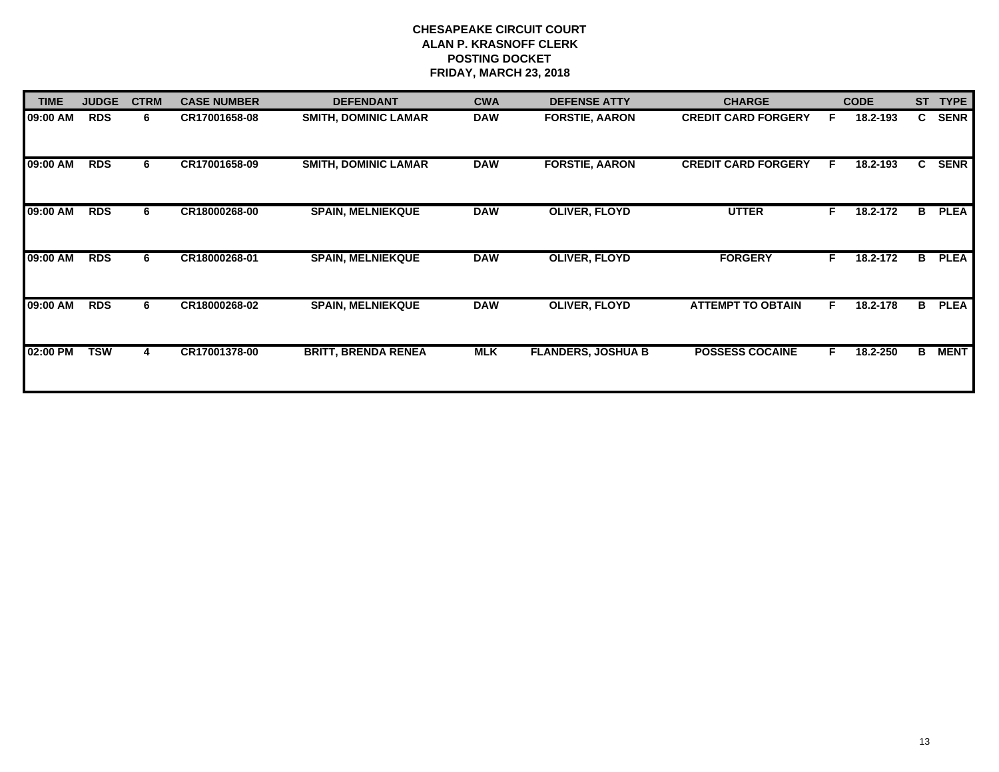| <b>TIME</b> | <b>JUDGE</b> | <b>CTRM</b> | <b>CASE NUMBER</b> | <b>DEFENDANT</b>            | <b>CWA</b> | <b>DEFENSE ATTY</b>       | <b>CHARGE</b>              |    | <b>CODE</b> | <b>ST</b> | <b>TYPE</b> |
|-------------|--------------|-------------|--------------------|-----------------------------|------------|---------------------------|----------------------------|----|-------------|-----------|-------------|
| 09:00 AM    | <b>RDS</b>   | 6           | CR17001658-08      | <b>SMITH, DOMINIC LAMAR</b> | <b>DAW</b> | <b>FORSTIE, AARON</b>     | <b>CREDIT CARD FORGERY</b> | E  | 18.2-193    | C.        | <b>SENR</b> |
| 09:00 AM    | <b>RDS</b>   | 6           | CR17001658-09      | <b>SMITH, DOMINIC LAMAR</b> | <b>DAW</b> | <b>FORSTIE, AARON</b>     | <b>CREDIT CARD FORGERY</b> | F. | 18.2-193    | C.        | <b>SENR</b> |
| 09:00 AM    | <b>RDS</b>   | 6.          | CR18000268-00      | <b>SPAIN, MELNIEKQUE</b>    | <b>DAW</b> | <b>OLIVER, FLOYD</b>      | <b>UTTER</b>               | F  | 18.2-172    | в         | <b>PLEA</b> |
| 09:00 AM    | <b>RDS</b>   | 6           | CR18000268-01      | <b>SPAIN, MELNIEKQUE</b>    | <b>DAW</b> | OLIVER, FLOYD             | <b>FORGERY</b>             | F. | 18.2-172    | в         | <b>PLEA</b> |
| 09:00 AM    | <b>RDS</b>   | 6.          | CR18000268-02      | <b>SPAIN, MELNIEKQUE</b>    | <b>DAW</b> | <b>OLIVER, FLOYD</b>      | <b>ATTEMPT TO OBTAIN</b>   | F  | 18.2-178    | В         | <b>PLEA</b> |
| 02:00 PM    | <b>TSW</b>   | 4           | CR17001378-00      | <b>BRITT, BRENDA RENEA</b>  | <b>MLK</b> | <b>FLANDERS, JOSHUA B</b> | <b>POSSESS COCAINE</b>     | F  | 18.2-250    | B         | <b>MENT</b> |